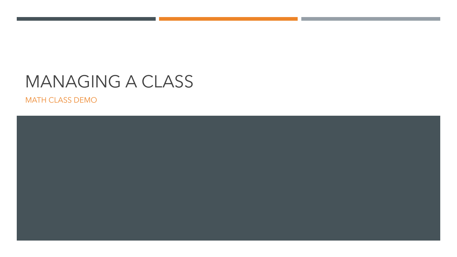### MANAGING A CLASS

MATH CLASS DEMO

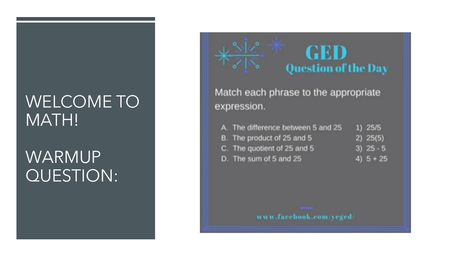## WELCOME TO MATH!

## WARMUP QUESTION:

## GED **Question of the Day**

Match each phrase to the appropriate expression.

- A. The difference between 5 and 25  $1)$  25/5
- B. The product of 25 and 5  $2) 25(5)$
- C. The quotient of 25 and 5  $3) 25 - 5$

4)  $5 + 25$ 

D. The sum of 5 and 25

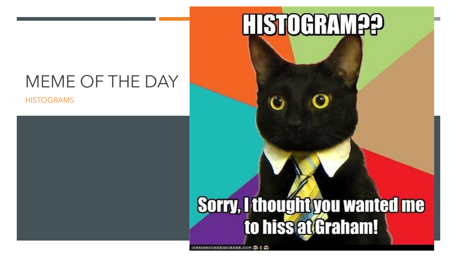## MEME OF THE DAY

**HISTOGRAMS** 

# HISTOCRAM

# Sorry, I thought you wanted me to hiss at Graham!

ICHNHASCHEEZEURGER.COM S \$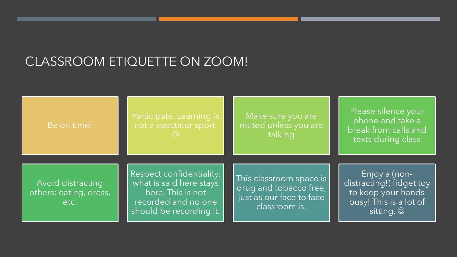### CLASSROOM ETIQUETTE ON ZOOM!

Be on time!

Make sure you are muted unless you are talking

Please silence your phone and take a break from calls and texts during class

Avoid distracting others: eating, dress, etc.

Respect confidentiality: what is said here stays here. This is not recorded and no one should be recording it.

This classroom space is drug and tobacco free, just as our face to face classroom is.

Enjoy a (nondistracting!) fidget toy to keep your hands busy! This is a lot of sitting.  $©$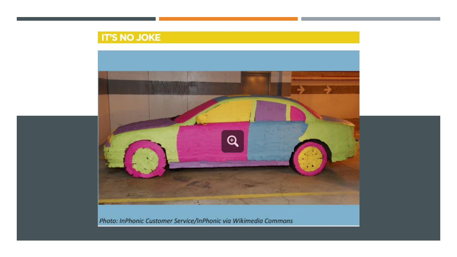### **IT'S NO JOKE**



Photo: InPhonic Customer Service/InPhonic via Wikimedia Commons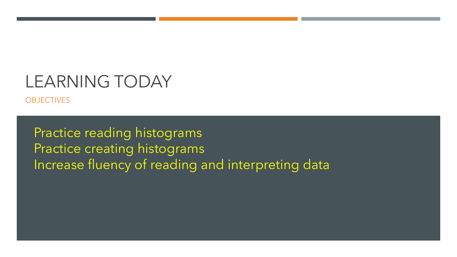### LEARNING TODAY

**OBJECTIVES** 

Practice reading histograms Practice creating histograms Increase fluency of reading and interpreting data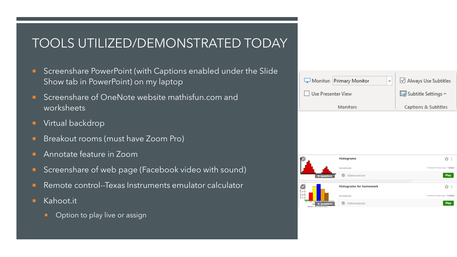### TOOLS UTILIZED/DEMONSTRATED TODAY

- **Screenshare PowerPoint (with Captions enabled under the Slide** Show tab in PowerPoint) on my laptop
- **E** Screenshare of OneNote website mathisfun.com and worksheets
- **Virtual backdrop**
- **Breakout rooms (must have Zoom Pro)**
- **Annotate feature in Zoom**
- Screenshare of web page (Facebook video with sound)
- Remote control--Texas Instruments emulator calculator
- **Kahoot.it** 
	- **•** Option to play live or assign

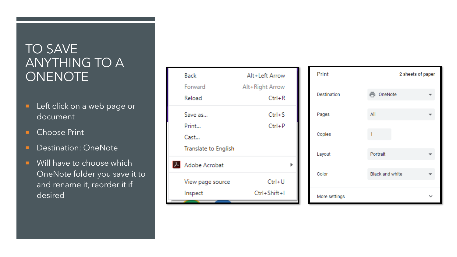### TO SAVE ANYTHING TO A **ONENOTE**

- **Left click on a web page or** document
- **Choose Print**
- **Destination: OneNote**
- **Will have to choose which** OneNote folder you save it to and rename it, reorder it if desired

| Back                 | Alt+Left Arrow  |  |
|----------------------|-----------------|--|
| Forward              | Alt+Right Arrow |  |
| Reload               | $Ctrl + R$      |  |
| Save as              | $Ctrl + S$      |  |
| Print                | $Ctrl + P$      |  |
| Cast                 |                 |  |
| Translate to English |                 |  |
| A Adobe Acrobat      |                 |  |
| View page source     | $Ctrl+U$        |  |
| Inspect              | Ctrl+Shift+I    |  |

| Print         | 2 sheets of paper      |  |
|---------------|------------------------|--|
| Destination   | OneNote                |  |
| Pages         | All                    |  |
| Copies        |                        |  |
| Layout        | Portrait               |  |
| Color         | <b>Black and white</b> |  |
| More settings |                        |  |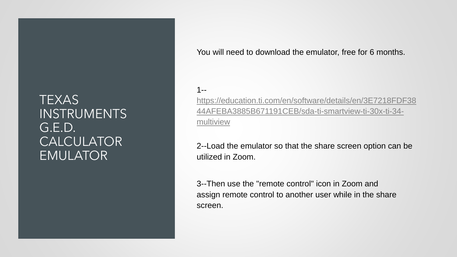### TEXAS **INSTRUMENTS** G.E.D. CALCULATOR EMULATOR

You will need to download the emulator, free for 6 months.

#### 1--

https://education.ti.com/en/software/details/en/3E7218FDF38 [44AFEBA3885B671191CEB/sda-ti-smartview-ti-30x-ti-34](https://education.ti.com/en/software/details/en/3E7218FDF3844AFEBA3885B671191CEB/sda-ti-smartview-ti-30x-ti-34-multiview) multiview

2--Load the emulator so that the share screen option can be utilized in Zoom.

3--Then use the "remote control" icon in Zoom and assign remote control to another user while in the share screen.